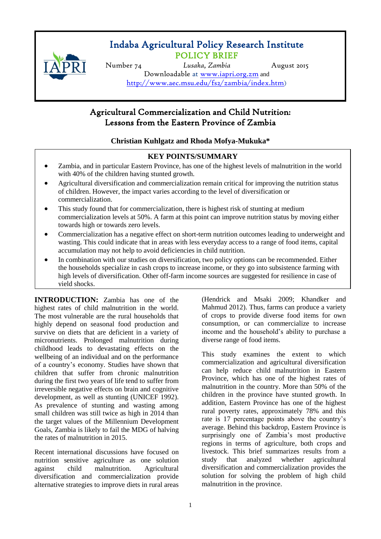

# Indaba Agricultural Policy Research Institute POLICY BRIEF

Number 74 *Lusaka, Zambia* August 2015 Downloadable at [www.iapri.org.zm](http://www.iapri.org.zm/) and <http://www.aec.msu.edu/fs2/zambia/index.htm>)

## ֺ Agricultural Commercialization and Child Nutrition: Lessons from the Eastern Province of Zambia

## **Christian Kuhlgatz and Rhoda Mofya-Mukuka\***

## **KEY POINTS/SUMMARY**

- Zambia, and in particular Eastern Province, has one of the highest levels of malnutrition in the world with 40% of the children having stunted growth.
- Agricultural diversification and commercialization remain critical for improving the nutrition status of children. However, the impact varies according to the level of diversification or commercialization.
- **•** This study found that for commercialization, there is highest risk of stunting at medium commercialization levels at 50%. A farm at this point can improve nutrition status by moving either towards high or towards zero levels.
- Commercialization has a negative effect on short-term nutrition outcomes leading to underweight and wasting. This could indicate that in areas with less everyday access to a range of food items, capital accumulation may not help to avoid deficiencies in child nutrition.
- In combination with our studies on diversification, two policy options can be recommended. Either the households specialize in cash crops to increase income, or they go into subsistence farming with high levels of diversification. Other off-farm income sources are suggested for resilience in case of yield shocks.

**INTRODUCTION:** Zambia has one of the highest rates of child malnutrition in the world. The most vulnerable are the rural households that highly depend on seasonal food production and survive on diets that are deficient in a variety of micronutrients. Prolonged malnutrition during childhood leads to devastating effects on the wellbeing of an individual and on the performance of a country's economy. Studies have shown that children that suffer from chronic malnutrition during the first two years of life tend to suffer from irreversible negative effects on brain and cognitive development, as well as stunting (UNICEF 1992). As prevalence of stunting and wasting among small children was still twice as high in 2014 than the target values of the Millennium Development Goals, Zambia is likely to fail the MDG of halving the rates of malnutrition in 2015.

Recent international discussions have focused on nutrition sensitive agriculture as one solution against child malnutrition. Agricultural diversification and commercialization provide alternative strategies to improve diets in rural areas (Hendrick and Msaki 2009; Khandker and Mahmud 2012). Thus, farms can produce a variety of crops to provide diverse food items for own consumption, or can commercialize to increase income and the household's ability to purchase a diverse range of food items.

This study examines the extent to which commercialization and agricultural diversification can help reduce child malnutrition in Eastern Province, which has one of the highest rates of malnutrition in the country. More than 50% of the children in the province have stunted growth. In addition, Eastern Province has one of the highest rural poverty rates, approximately 78% and this rate is 17 percentage points above the country's average. Behind this backdrop, Eastern Province is surprisingly one of Zambia's most productive regions in terms of agriculture, both crops and livestock. This brief summarizes results from a study that analyzed whether agricultural diversification and commercialization provides the solution for solving the problem of high child malnutrition in the province.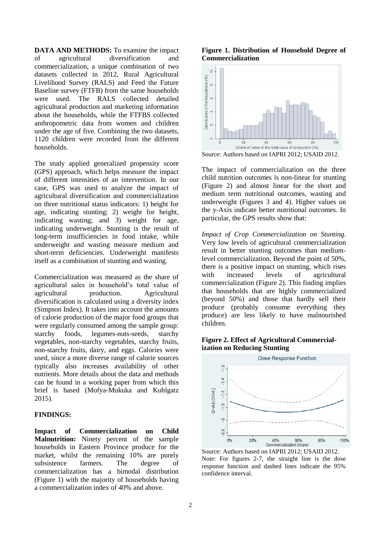**DATA AND METHODS:** To examine the impact of agricultural diversification and commercialization, a unique combination of two datasets collected in 2012, Rural Agricultural Livelihood Survey (RALS) and Feed the Future Baseline survey (FTFB) from the same households were used. The RALS collected detailed agricultural production and marketing information about the households, while the FTFBS collected anthropometric data from women and children under the age of five. Combining the two datasets, 1120 children were recorded from the different households.

The study applied generalized propensity score (GPS) approach, which helps measure the impact of different intensities of an intervention. In our case, GPS was used to analyze the impact of agricultural diversification and commercialization on three nutritional status indicators: 1) height for age, indicating stunting; 2) weight for height, indicating wasting; and 3) weight for age, indicating underweight. Stunting is the result of long-term insufficiencies in food intake, while underweight and wasting measure medium and short-term deficiencies. Underweight manifests itself as a combination of stunting and wasting.

Commercialization was measured as the share of agricultural sales in household's total value of agricultural production. Agricultural diversification is calculated using a diversity index (Simpson Index). It takes into account the amounts of calorie production of the major food groups that were regularly consumed among the sample group: starchy foods, legumes-nuts-seeds, starchy vegetables, non-starchy vegetables, starchy fruits, non-starchy fruits, dairy, and eggs. Calories were used, since a more diverse range of calorie sources typically also increases availability of other nutrients. More details about the data and methods can be found in a working paper from which this brief is based (Mofya-Mukuka and Kuhlgatz 2015).

#### **FINDINGS:**

**Impact of Commercialization on Child Malnutrition:** Ninety percent of the sample households in Eastern Province produce for the market, whilst the remaining 10% are purely subsistence farmers. The degree of commercialization has a bimodal distribution (Figure 1) with the majority of households having a commercialization index of 40% and above.

#### **Figure 1. Distribution of Household Degree of Commercialization**



Source: Authors based on IAPRI 2012; USAID 2012.

The impact of commercialization on the three child nutrition outcomes is non-linear for stunting (Figure 2) and almost linear for the short and medium term nutritional outcomes, wasting and underweight (Figures 3 and 4). Higher values on the y-Axis indicate better nutritional outcomes. In particular, the GPS results show that:

*Impact of Crop Commercialization on Stunting.* Very low levels of agricultural commercialization result in better stunting outcomes than mediumlevel commercialization. Beyond the point of 50%, there is a positive impact on stunting, which rises with increased levels of agricultural commercialization (Figure 2). This finding implies that households that are highly commercialized (beyond 50%) and those that hardly sell their produce (probably consume everything they produce) are less likely to have malnourished children.

#### **Figure 2. Effect of Agricultural Commercialization on Reducing Stunting**



Source: Authors based on IAPRI 2012; USAID 2012. Note: For figures 2-7, the straight line is the dose response function and dashed lines indicate the 95% confidence interval.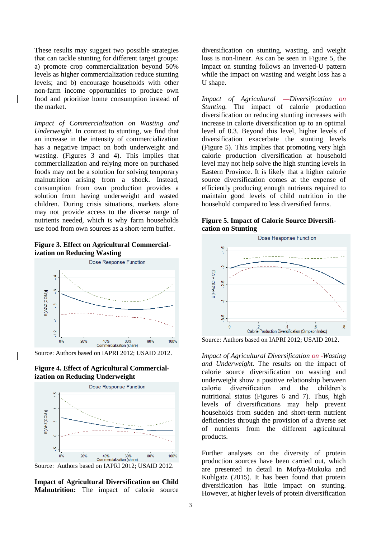These results may suggest two possible strategies that can tackle stunting for different target groups: a) promote crop commercialization beyond 50% levels as higher commercialization reduce stunting levels; and b) encourage households with other non-farm income opportunities to produce own food and prioritize home consumption instead of the market.

*Impact of Commercialization on Wasting and Underweight.* In contrast to stunting, we find that an increase in the intensity of commercialization has a negative impact on both underweight and wasting. (Figures 3 and 4). This implies that commercialization and relying more on purchased foods may not be a solution for solving temporary malnutrition arising from a shock. Instead, consumption from own production provides a solution from having underweight and wasted children. During crisis situations, markets alone may not provide access to the diverse range of nutrients needed, which is why farm households use food from own sources as a short-term buffer.

**Figure 3. Effect on Agricultural Commercialization on Reducing Wasting**



Source: Authors based on IAPRI 2012; USAID 2012.





**Impact of Agricultural Diversification on Child Malnutrition:** The impact of calorie source

diversification on stunting, wasting, and weight loss is non-linear. As can be seen in Figure 5, the impact on stunting follows an inverted-U pattern while the impact on wasting and weight loss has a U shape.

*Impact of Agricultural Diversification on Stunting.* The impact of calorie production diversification on reducing stunting increases with increase in calorie diversification up to an optimal level of 0.3. Beyond this level, higher levels of diversification exacerbate the stunting levels (Figure 5). This implies that promoting very high calorie production diversification at household level may not help solve the high stunting levels in Eastern Province. It is likely that a higher calorie source diversification comes at the expense of efficiently producing enough nutrients required to maintain good levels of child nutrition in the household compared to less diversified farms.

| <b>Figure 5. Impact of Calorie Source Diversifi-</b> |  |  |
|------------------------------------------------------|--|--|
| cation on Stunting                                   |  |  |



Source: Authors based on IAPRI 2012; USAID 2012.

*Impact of Agricultural Diversification on Wasting and Underweight.* The results on the impact of calorie source diversification on wasting and underweight show a positive relationship between calorie diversification and the children's nutritional status (Figures 6 and 7). Thus, high levels of diversifications may help prevent households from sudden and short-term nutrient deficiencies through the provision of a diverse set of nutrients from the different agricultural products.

Further analyses on the diversity of protein production sources have been carried out, which are presented in detail in Mofya-Mukuka and Kuhlgatz (2015). It has been found that protein diversification has little impact on stunting. However, at higher levels of protein diversification